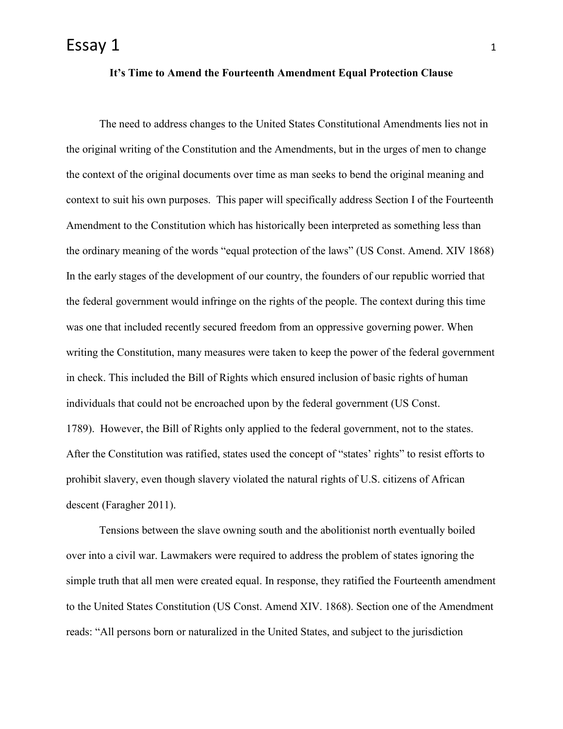## **It's Time to Amend the Fourteenth Amendment Equal Protection Clause**

The need to address changes to the United States Constitutional Amendments lies not in the original writing of the Constitution and the Amendments, but in the urges of men to change the context of the original documents over time as man seeks to bend the original meaning and context to suit his own purposes. This paper will specifically address Section I of the Fourteenth Amendment to the Constitution which has historically been interpreted as something less than the ordinary meaning of the words "equal protection of the laws" (US Const. Amend. XIV 1868) In the early stages of the development of our country, the founders of our republic worried that the federal government would infringe on the rights of the people. The context during this time was one that included recently secured freedom from an oppressive governing power. When writing the Constitution, many measures were taken to keep the power of the federal government in check. This included the Bill of Rights which ensured inclusion of basic rights of human individuals that could not be encroached upon by the federal government (US Const. 1789). However, the Bill of Rights only applied to the federal government, not to the states. After the Constitution was ratified, states used the concept of "states' rights" to resist efforts to prohibit slavery, even though slavery violated the natural rights of U.S. citizens of African descent (Faragher 2011).

Tensions between the slave owning south and the abolitionist north eventually boiled over into a civil war. Lawmakers were required to address the problem of states ignoring the simple truth that all men were created equal. In response, they ratified the Fourteenth amendment to the United States Constitution (US Const. Amend XIV. 1868). Section one of the Amendment reads: "All persons born or naturalized in the United States, and subject to the jurisdiction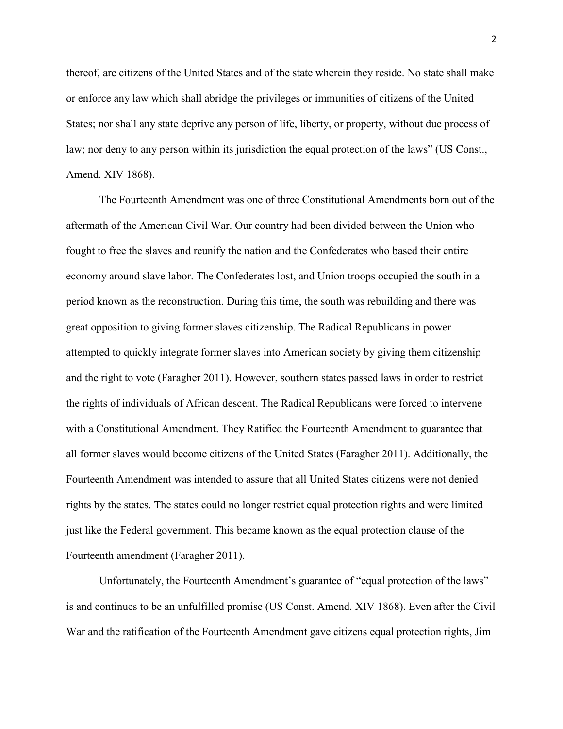thereof, are citizens of the United States and of the state wherein they reside. No state shall make or enforce any law which shall abridge the privileges or immunities of citizens of the United States; nor shall any state deprive any person of life, liberty, or property, without due process of law; nor deny to any person within its jurisdiction the equal protection of the laws" (US Const., Amend. XIV 1868).

The Fourteenth Amendment was one of three Constitutional Amendments born out of the aftermath of the American Civil War. Our country had been divided between the Union who fought to free the slaves and reunify the nation and the Confederates who based their entire economy around slave labor. The Confederates lost, and Union troops occupied the south in a period known as the reconstruction. During this time, the south was rebuilding and there was great opposition to giving former slaves citizenship. The Radical Republicans in power attempted to quickly integrate former slaves into American society by giving them citizenship and the right to vote (Faragher 2011). However, southern states passed laws in order to restrict the rights of individuals of African descent. The Radical Republicans were forced to intervene with a Constitutional Amendment. They Ratified the Fourteenth Amendment to guarantee that all former slaves would become citizens of the United States (Faragher 2011). Additionally, the Fourteenth Amendment was intended to assure that all United States citizens were not denied rights by the states. The states could no longer restrict equal protection rights and were limited just like the Federal government. This became known as the equal protection clause of the Fourteenth amendment (Faragher 2011).

Unfortunately, the Fourteenth Amendment's guarantee of "equal protection of the laws" is and continues to be an unfulfilled promise (US Const. Amend. XIV 1868). Even after the Civil War and the ratification of the Fourteenth Amendment gave citizens equal protection rights, Jim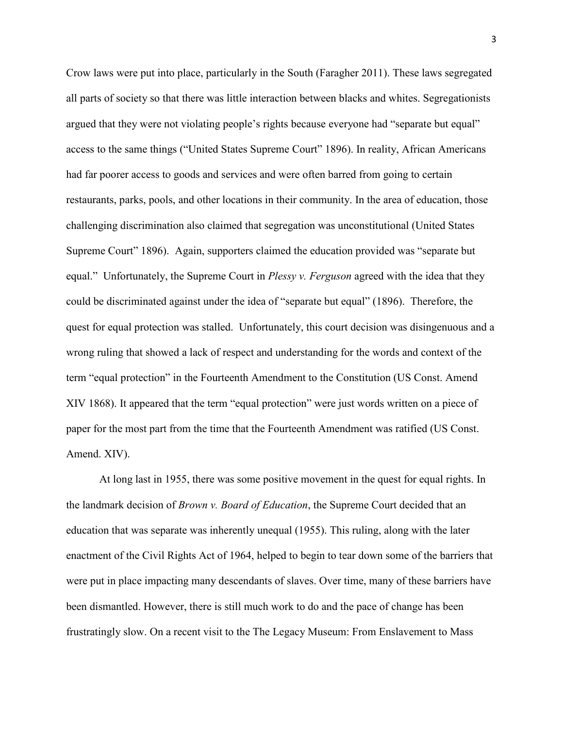Crow laws were put into place, particularly in the South (Faragher 2011). These laws segregated all parts of society so that there was little interaction between blacks and whites. Segregationists argued that they were not violating people's rights because everyone had "separate but equal" access to the same things ("United States Supreme Court" 1896). In reality, African Americans had far poorer access to goods and services and were often barred from going to certain restaurants, parks, pools, and other locations in their community. In the area of education, those challenging discrimination also claimed that segregation was unconstitutional (United States Supreme Court" 1896). Again, supporters claimed the education provided was "separate but equal." Unfortunately, the Supreme Court in *Plessy v. Ferguson* agreed with the idea that they could be discriminated against under the idea of "separate but equal" (1896). Therefore, the quest for equal protection was stalled. Unfortunately, this court decision was disingenuous and a wrong ruling that showed a lack of respect and understanding for the words and context of the term "equal protection" in the Fourteenth Amendment to the Constitution (US Const. Amend XIV 1868). It appeared that the term "equal protection" were just words written on a piece of paper for the most part from the time that the Fourteenth Amendment was ratified (US Const. Amend. XIV).

At long last in 1955, there was some positive movement in the quest for equal rights. In the landmark decision of *Brown v. Board of Education*, the Supreme Court decided that an education that was separate was inherently unequal (1955). This ruling, along with the later enactment of the Civil Rights Act of 1964, helped to begin to tear down some of the barriers that were put in place impacting many descendants of slaves. Over time, many of these barriers have been dismantled. However, there is still much work to do and the pace of change has been frustratingly slow. On a recent visit to the The Legacy Museum: From Enslavement to Mass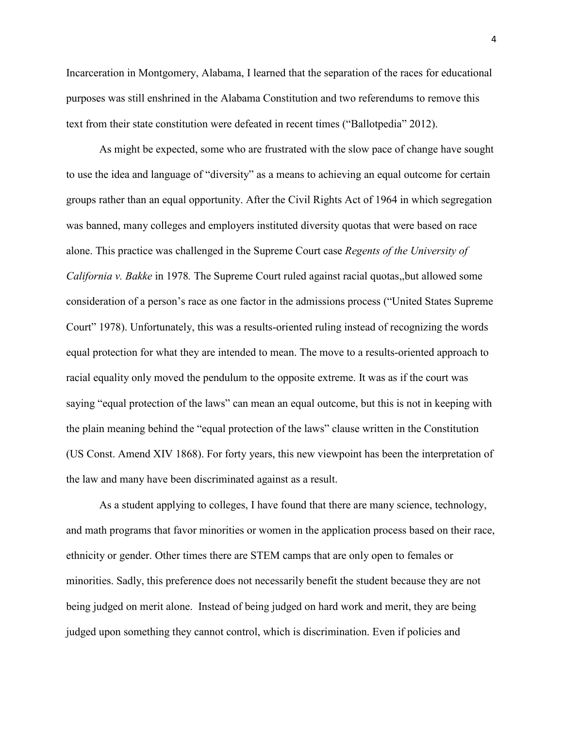Incarceration in Montgomery, Alabama, I learned that the separation of the races for educational purposes was still enshrined in the Alabama Constitution and two referendums to remove this text from their state constitution were defeated in recent times ("Ballotpedia" 2012).

As might be expected, some who are frustrated with the slow pace of change have sought to use the idea and language of "diversity" as a means to achieving an equal outcome for certain groups rather than an equal opportunity. After the Civil Rights Act of 1964 in which segregation was banned, many colleges and employers instituted diversity quotas that were based on race alone. This practice was challenged in the Supreme Court case *Regents of the University of California v. Bakke* in 1978*.* The Supreme Court ruled against racial quotas,,but allowed some consideration of a person's race as one factor in the admissions process ("United States Supreme Court" 1978). Unfortunately, this was a results-oriented ruling instead of recognizing the words equal protection for what they are intended to mean. The move to a results-oriented approach to racial equality only moved the pendulum to the opposite extreme. It was as if the court was saying "equal protection of the laws" can mean an equal outcome, but this is not in keeping with the plain meaning behind the "equal protection of the laws" clause written in the Constitution (US Const. Amend XIV 1868). For forty years, this new viewpoint has been the interpretation of the law and many have been discriminated against as a result.

As a student applying to colleges, I have found that there are many science, technology, and math programs that favor minorities or women in the application process based on their race, ethnicity or gender. Other times there are STEM camps that are only open to females or minorities. Sadly, this preference does not necessarily benefit the student because they are not being judged on merit alone. Instead of being judged on hard work and merit, they are being judged upon something they cannot control, which is discrimination. Even if policies and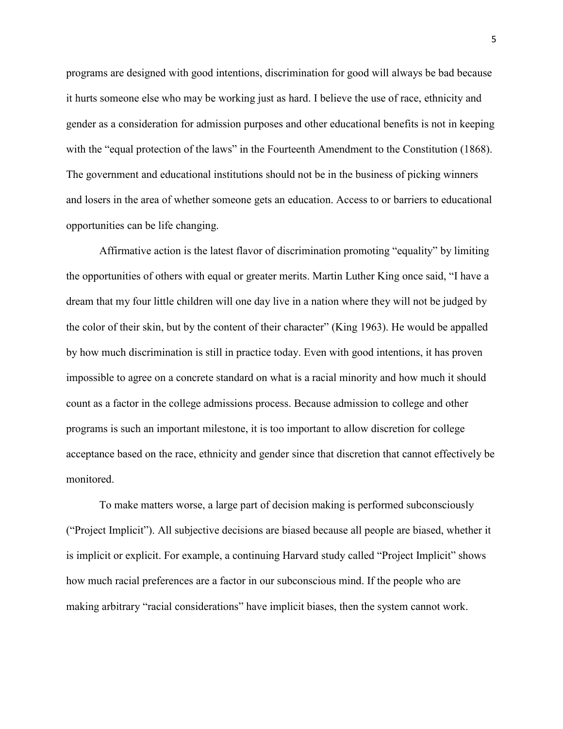programs are designed with good intentions, discrimination for good will always be bad because it hurts someone else who may be working just as hard. I believe the use of race, ethnicity and gender as a consideration for admission purposes and other educational benefits is not in keeping with the "equal protection of the laws" in the Fourteenth Amendment to the Constitution (1868). The government and educational institutions should not be in the business of picking winners and losers in the area of whether someone gets an education. Access to or barriers to educational opportunities can be life changing.

Affirmative action is the latest flavor of discrimination promoting "equality" by limiting the opportunities of others with equal or greater merits. Martin Luther King once said, "I have a dream that my four little children will one day live in a nation where they will not be judged by the color of their skin, but by the content of their character" (King 1963). He would be appalled by how much discrimination is still in practice today. Even with good intentions, it has proven impossible to agree on a concrete standard on what is a racial minority and how much it should count as a factor in the college admissions process. Because admission to college and other programs is such an important milestone, it is too important to allow discretion for college acceptance based on the race, ethnicity and gender since that discretion that cannot effectively be monitored.

To make matters worse, a large part of decision making is performed subconsciously ("Project Implicit"). All subjective decisions are biased because all people are biased, whether it is implicit or explicit. For example, a continuing Harvard study called "Project Implicit" shows how much racial preferences are a factor in our subconscious mind. If the people who are making arbitrary "racial considerations" have implicit biases, then the system cannot work.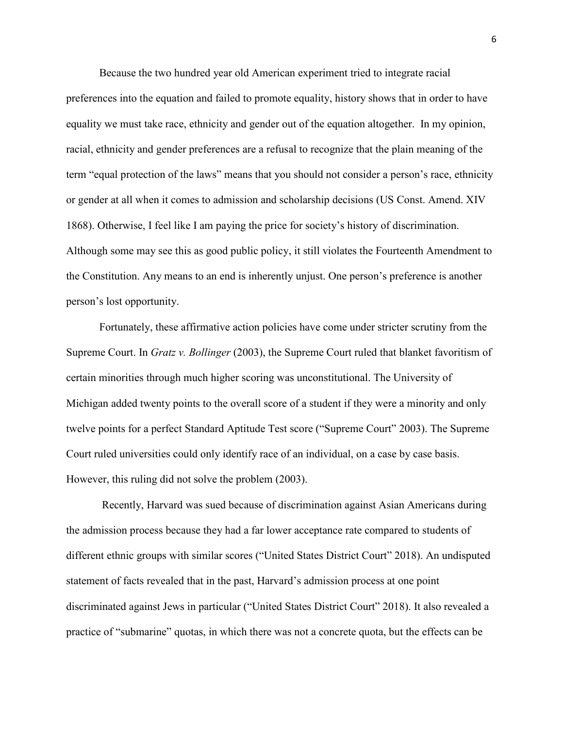Because the two hundred year old American experiment tried to integrate racial preferences into the equation and failed to promote equality, history shows that in order to have equality we must take race, ethnicity and gender out of the equation altogether. In my opinion, racial, ethnicity and gender preferences are a refusal to recognize that the plain meaning of the term "equal protection of the laws" means that you should not consider a person's race, ethnicity or gender at all when it comes to admission and scholarship decisions (US Const. Amend. XIV 1868). Otherwise, I feel like I am paying the price for society's history of discrimination. Although some may see this as good public policy, it still violates the Fourteenth Amendment to the Constitution. Any means to an end is inherently unjust. One person's preference is another person's lost opportunity.

Fortunately, these affirmative action policies have come under stricter scrutiny from the Supreme Court. In *Gratz v. Bollinger* (2003), the Supreme Court ruled that blanket favoritism of certain minorities through much higher scoring was unconstitutional. The University of Michigan added twenty points to the overall score of a student if they were a minority and only twelve points for a perfect Standard Aptitude Test score ("Supreme Court" 2003). The Supreme Court ruled universities could only identify race of an individual, on a case by case basis. However, this ruling did not solve the problem (2003).

Recently, Harvard was sued because of discrimination against Asian Americans during the admission process because they had a far lower acceptance rate compared to students of different ethnic groups with similar scores ("United States District Court" 2018). An undisputed statement of facts revealed that in the past, Harvard's admission process at one point discriminated against Jews in particular ("United States District Court" 2018). It also revealed a practice of "submarine" quotas, in which there was not a concrete quota, but the effects can be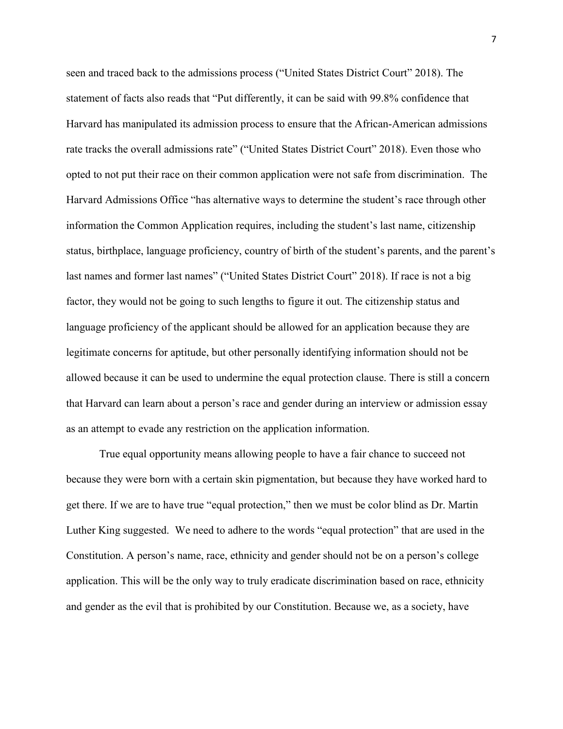seen and traced back to the admissions process ("United States District Court" 2018). The statement of facts also reads that "Put differently, it can be said with 99.8% confidence that Harvard has manipulated its admission process to ensure that the African-American admissions rate tracks the overall admissions rate" ("United States District Court" 2018). Even those who opted to not put their race on their common application were not safe from discrimination. The Harvard Admissions Office "has alternative ways to determine the student's race through other information the Common Application requires, including the student's last name, citizenship status, birthplace, language proficiency, country of birth of the student's parents, and the parent's last names and former last names" ("United States District Court" 2018). If race is not a big factor, they would not be going to such lengths to figure it out. The citizenship status and language proficiency of the applicant should be allowed for an application because they are legitimate concerns for aptitude, but other personally identifying information should not be allowed because it can be used to undermine the equal protection clause. There is still a concern that Harvard can learn about a person's race and gender during an interview or admission essay as an attempt to evade any restriction on the application information.

True equal opportunity means allowing people to have a fair chance to succeed not because they were born with a certain skin pigmentation, but because they have worked hard to get there. If we are to have true "equal protection," then we must be color blind as Dr. Martin Luther King suggested. We need to adhere to the words "equal protection" that are used in the Constitution. A person's name, race, ethnicity and gender should not be on a person's college application. This will be the only way to truly eradicate discrimination based on race, ethnicity and gender as the evil that is prohibited by our Constitution. Because we, as a society, have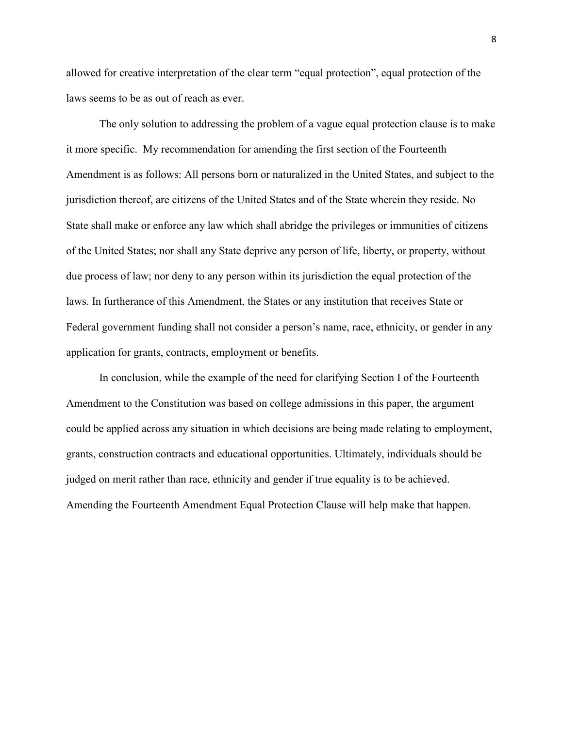allowed for creative interpretation of the clear term "equal protection", equal protection of the laws seems to be as out of reach as ever.

The only solution to addressing the problem of a vague equal protection clause is to make it more specific. My recommendation for amending the first section of the Fourteenth Amendment is as follows: All persons born or naturalized in the United States, and subject to the jurisdiction thereof, are citizens of the United States and of the State wherein they reside. No State shall make or enforce any law which shall abridge the privileges or immunities of citizens of the United States; nor shall any State deprive any person of life, liberty, or property, without due process of law; nor deny to any person within its jurisdiction the equal protection of the laws. In furtherance of this Amendment, the States or any institution that receives State or Federal government funding shall not consider a person's name, race, ethnicity, or gender in any application for grants, contracts, employment or benefits.

In conclusion, while the example of the need for clarifying Section I of the Fourteenth Amendment to the Constitution was based on college admissions in this paper, the argument could be applied across any situation in which decisions are being made relating to employment, grants, construction contracts and educational opportunities. Ultimately, individuals should be judged on merit rather than race, ethnicity and gender if true equality is to be achieved. Amending the Fourteenth Amendment Equal Protection Clause will help make that happen.